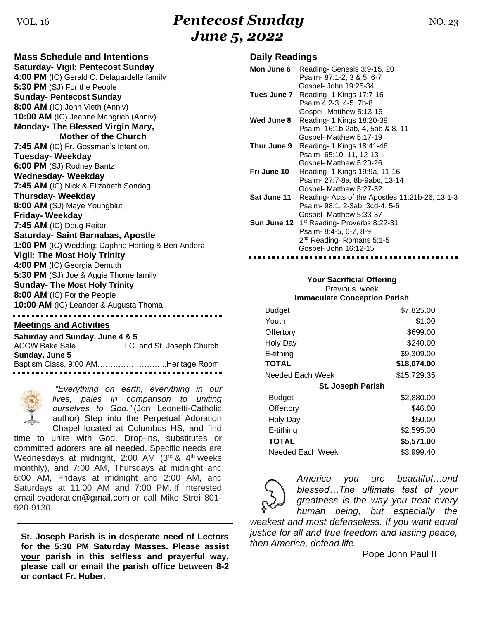## VOL. 16 **Pentecost Sunday NO. 23** *June 5, 2022*

**Mass Schedule and Intentions Saturday- Vigil: Pentecost Sunday 4:00 PM** (IC) Gerald C. Delagardelle family **5:30 PM** (SJ) For the People **Sunday- Pentecost Sunday 8:00 AM** (IC) John Vieth (Anniv) **10:00 AM** (IC) Jeanne Mangrich (Anniv) **Monday- The Blessed Virgin Mary, Mother of the Church 7:45 AM** (IC) Fr. Gossman's Intention. **Tuesday- Weekday 6:00 PM** (SJ) Rodney Bantz **Wednesday- Weekday 7:45 AM** (IC) Nick & Elizabeth Sondag **Thursday- Weekday 8:00 AM** (SJ) Maye Youngblut **Friday- Weekday 7:45 AM** (IC) Doug Reiter **Saturday- Saint Barnabas, Apostle 1:00 PM** (IC) Wedding: Daphne Harting & Ben Andera **Vigil: The Most Holy Trinity 4:00 PM** (IC) Georgia Demuth **5:30 PM** (SJ) Joe & Aggie Thome family **Sunday- The Most Holy Trinity 8:00 AM** (IC) For the People **10:00 AM** (IC) Leander & Augusta Thoma

#### **Meetings and Activities**

**Saturday and Sunday, June 4 & 5** ACCW Bake Sale……………….I.C. and St. Joseph Church **Sunday, June 5** Baptism Class, 9:00 AM……………………...Heritage Room



*"Everything on earth, everything in our lives, pales in comparison to uniting ourselves to God."* (Jon Leonetti-Catholic author) Step into the Perpetual Adoration Chapel located at Columbus HS, and find

time to unite with God. Drop-ins, substitutes or committed adorers are all needed. Specific needs are Wednesdays at midnight,  $2:00$  AM ( $3<sup>rd</sup>$  &  $4<sup>th</sup>$  weeks monthly), and 7:00 AM, Thursdays at midnight and 5:00 AM, Fridays at midnight and 2:00 AM, and Saturdays at 11:00 AM and 7:00 PM. If interested email [cvadoration@gmail.com](mailto:cvadoration@gmail.com) or call Mike Strei 801- 920-9130.

**St. Joseph Parish is in desperate need of Lectors for the 5:30 PM Saturday Masses. Please assist your parish in this selfless and prayerful way, please call or email the parish office between 8-2 or contact Fr. Huber.** 

### **Daily Readings**

| Mon June 6  | Reading-Genesis 3:9-15, 20<br>Psalm-87:1-2, 3 & 5, 6-7                                                                                                 |
|-------------|--------------------------------------------------------------------------------------------------------------------------------------------------------|
| Tues June 7 | Gospel- John 19:25-34<br>Reading- 1 Kings 17:7-16<br>Psalm 4:2-3, 4-5, 7b-8<br>Gospel- Matthew 5:13-16                                                 |
| Wed June 8  | Reading- 1 Kings 18:20-39<br>Psalm- 16:1b-2ab, 4, 5ab & 8, 11                                                                                          |
| Thur June 9 | Gospel- Matthew 5:17-19<br>Reading- 1 Kings 18:41-46<br>Psalm- 65:10, 11, 12-13                                                                        |
| Fri June 10 | Gospel- Matthew 5:20-26<br>Reading- 1 Kings 19:9a, 11-16<br>Psalm- 27:7-8a, 8b-9abc, 13-14                                                             |
| Sat June 11 | Gospel- Matthew 5:27-32<br>Reading-Acts of the Apostles 11:21b-26; 13:1-3<br>Psalm- 98:1, 2-3ab, 3cd-4, 5-6<br>Gospel- Matthew 5:33-37                 |
|             | <b>Sun June 12</b> 1 <sup>st</sup> Reading- Proverbs 8:22-31<br>Psalm-8:4-5, 6-7, 8-9<br>2 <sup>nd</sup> Reading-Romans 5:1-5<br>Gospel- John 16:12-15 |

| <b>Your Sacrificial Offering</b><br>Previous week<br><b>Immaculate Conception Parish</b> |             |  |  |
|------------------------------------------------------------------------------------------|-------------|--|--|
| Budget                                                                                   | \$7,825.00  |  |  |
| Youth                                                                                    | \$1.00      |  |  |
| Offertory                                                                                | \$699.00    |  |  |
| Holy Day                                                                                 | \$240.00    |  |  |
| E-tithing                                                                                | \$9,309.00  |  |  |
| <b>TOTAL</b>                                                                             | \$18,074.00 |  |  |
| Needed Each Week                                                                         | \$15,729.35 |  |  |
| <b>St. Joseph Parish</b>                                                                 |             |  |  |
| Budget                                                                                   | \$2,880.00  |  |  |
| Offertory                                                                                | \$46.00     |  |  |
| Holy Day                                                                                 | \$50.00     |  |  |
| E-tithing                                                                                | \$2,595.00  |  |  |
| TOTAL                                                                                    | \$5,571.00  |  |  |
| Needed Each Week                                                                         | \$3,999.40  |  |  |

*America you are beautiful…and blessed…The ultimate test of your greatness is the way you treat every human being, but especially the* 

*weakest and most defenseless. If you want equal justice for all and true freedom and lasting peace, then America, defend life.* 

Pope John Paul II